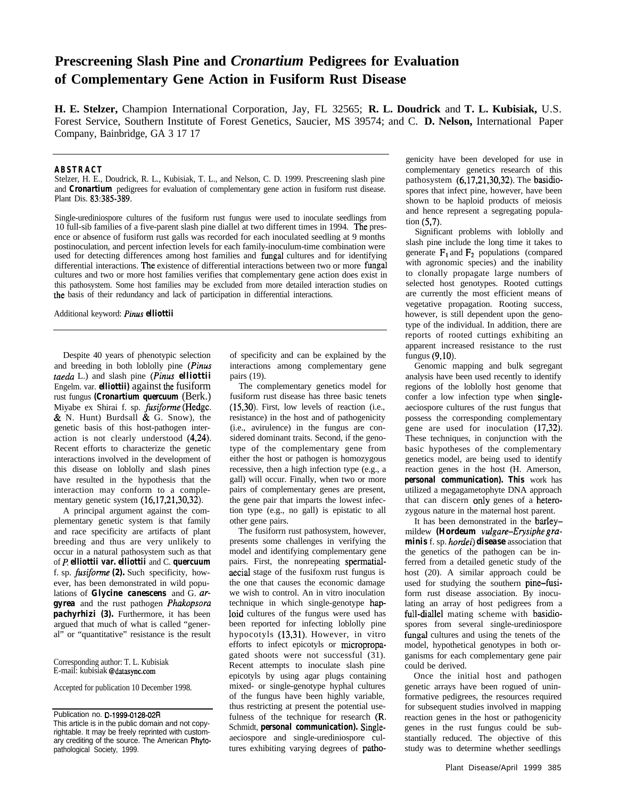# **Prescreening Slash Pine and** *Cronartium* **Pedigrees for Evaluation of Complementary Gene Action in Fusiform Rust Disease**

**H. E. Stelzer,** Champion International Corporation, Jay, FL 32565; **R. L. Doudrick** and **T. L. Kubisiak,** U.S. Forest Service, Southern Institute of Forest Genetics, Saucier, MS 39574; and C. **D. Nelson,** International Paper Company, Bainbridge, GA 3 17 17

### **ABSTRACT**

Stelzer, H. E., Doudrick, R. L., Kubisiak, T. L., and Nelson, C. D. 1999. Prescreening slash pine and *Cronartium* pedigrees for evaluation of complementary gene action in fusiform rust disease. Plant Dis. 83:385-389.

Single-urediniospore cultures of the fusiform rust fungus were used to inoculate seedlings from 10 full-sib families of a five-parent slash pine diallel at two different times in 1994. The presence or absence of fusiform rust galls was recorded for each inoculated seedling at 9 months postinoculation, and percent infection levels for each family-inoculum-time combination were used for detecting differences among host families and fungal cultures and for identifying differential interactions. The existence of differential interactions between two or more fungal cultures and two or more host families verifies that complementary gene action does exist in this pathosystem. Some host families may be excluded from more detailed interaction studies on the basis of their redundancy and lack of participation in differential interactions.

Additional keyword: *Pinus elliottii*

Despite 40 years of phenotypic selection and breeding in both loblolly pine *(Pinus taedu* L.) and slash pine *(Pinus elliottii* Engelm. var. *elliottii)* against the fusiform rust fungus *(Cronartium quercuum* (Berk.) Miyabe ex Shirai f. sp. *fusiforme* (Hedge.  $& N.$  Hunt) Burdsall  $& G.$  Snow), the genetic basis of this host-pathogen interaction is not clearly understood (4,24). Recent efforts to characterize the genetic interactions involved in the development of this disease on loblolly and slash pines have resulted in the hypothesis that the interaction may conform to a complementary genetic system (16,17,21,30,32).

A principal argument against the complementary genetic system is that family and race specificity are artifacts of plant breeding and thus are very unlikely to occur in a natural pathosystem such as that of P. *elliottii var. elliottii* and C. *quercuum* f. sp. fusiforme *(2).* Such specificity, however, has been demonstrated in wild populations of *Glycine canescens* and G. *argyrea* and the rust pathogen *Phakopsoru pachyrhizi (3).* Furthermore, it has been argued that much of what is called "general" or "quantitative" resistance is the result

Corresponding author: T. L. Kubisiak E-mail: kubisiak @datasync.com

Accepted for publication 10 December 1998.

Publication no. D-1999-0128-02R

of specificity and can be explained by the interactions among complementary gene pairs (19).

The complementary genetics model for fusiform rust disease has three basic tenets (1530). First, low levels of reaction (i.e., resistance) in the host and of pathogenicity (i.e., avirulence) in the fungus are considered dominant traits. Second, if the genotype of the complementary gene from either the host or pathogen is homozygous recessive, then a high infection type (e.g., a gall) will occur. Finally, when two or more pairs of complementary genes are present, the gene pair that imparts the lowest infection type (e.g., no gall) is epistatic to all other gene pairs.

The fusiforrn rust pathosystem, however, presents some challenges in verifying the model and identifying complementary gene pairs. First, the nonrepeating spermatialaecial stage of the fusifoxm rust fungus is the one that causes the economic damage we wish to control. An in vitro inoculation technique in which single-genotype haploid cultures of the fungus were used has been reported for infecting loblolly pine hypocotyls (13,31). However, in vitro efforts to infect epicotyls or micropropagated shoots were not successful (31). Recent attempts to inoculate slash pine epicotyls by using agar plugs containing mixed- or single-genotype hyphal cultures of the fungus have been highly variable, thus restricting at present the potential usefulness of the technique for research (R. Schmidt, *personal communication).* Singleaeciospore and single-urediniospore cultures exhibiting varying degrees of pathogenicity have been developed for use in complementary genetics research of this pathosystem (6,17,21,30,32). The basidiospores that infect pine, however, have been shown to be haploid products of meiosis and hence represent a segregating population  $(5.7)$ .

Significant problems with loblolly and slash pine include the long time it takes to generate  $F_1$  and  $F_2$  populations (compared with agronomic species) and the inability to clonally propagate large numbers of selected host genotypes. Rooted cuttings are currently the most efficient means of vegetative propagation. Rooting success, however, is still dependent upon the genotype of the individual. In addition, there are reports of rooted cuttings exhibiting an apparent increased resistance to the rust fungus (9,lO).

Genomic mapping and bulk segregant analysis have been used recently to identify regions of the loblolly host genome that confer a low infection type when singleaeciospore cultures of the rust fungus that possess the corresponding complementary gene are used for inoculation (17,32). These techniques, in conjunction with the basic hypotheses of the complementary genetics model, are being used to identify reaction genes in the host (H. Amerson, *personal communication). This* work has utilized a megagametophyte DNA approach that can discern only genes of a heterozygous nature in the maternal host parent.

It has been demonstrated in the barleymildew *(Hordeum vulgare-Erysiphe graminis* f. sp. *hordei) disease* association that the genetics of the pathogen can be inferred from a detailed genetic study of the host (20). A similar approach could be used for studying the southern pine-fusiform rust disease association. By inoculating an array of host pedigrees from a full-diallel mating scheme with basidiospores from several single-urediniospore fungal cultures and using the tenets of the model, hypothetical genotypes in both organisms for each complementary gene pair could be derived.

Once the initial host and pathogen genetic arrays have been rogued of uninformative pedigrees, the resources required for subsequent studies involved in mapping reaction genes in the host or pathogenicity genes in the rust fungus could be substantially reduced. The objective of this study was to determine whether seedlings

This article is in the public domain and not copyrightable. It may be freely reprinted with customary crediting of the source. The American Phytopathological Society, 1999.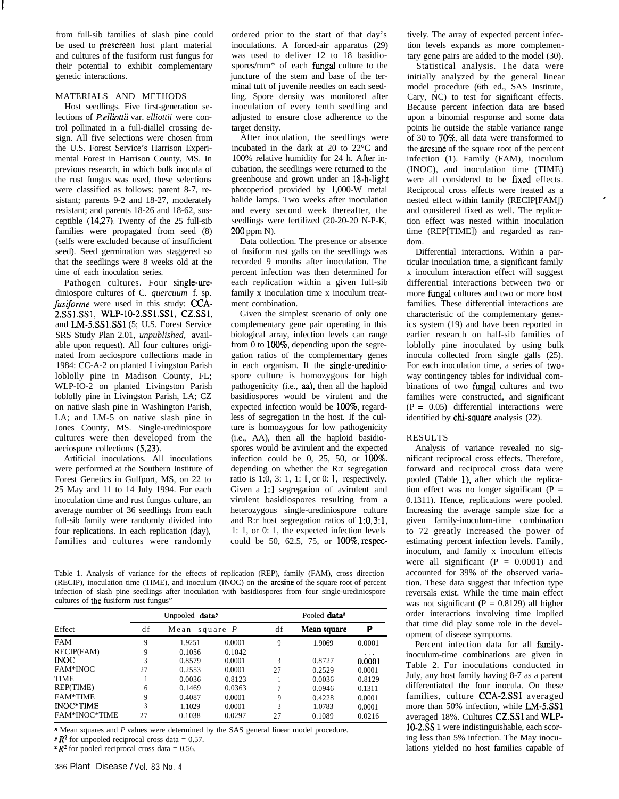from full-sib families of slash pine could be used to prescreen host plant material and cultures of the fusiform rust fungus for their potential to exhibit complementary genetic interactions.

# MATERIALS AND METHODS

Host seedlings. Five first-generation selections of *P elliottii* var. *elliottii* were control pollinated in a full-diallel crossing design. All five selections were chosen from the U.S. Forest Service's Harrison Experimental Forest in Harrison County, MS. In previous research, in which bulk inocula of the rust fungus was used, these selections were classified as follows: parent 8-7, resistant; parents 9-2 and 18-27, moderately resistant; and parents 18-26 and 18-62, susceptible (14,27). Twenty of the 25 full-sib families were propagated from seed (8) (selfs were excluded because of insufficient seed). Seed germination was staggered so that the seedlings were 8 weeks old at the time of each inoculation series.

Pathogen cultures. Four single-urediniospore cultures of C. *quercuum* f. sp. fusiforme were used in this study: CCA-2.SSl.SS1, wLP-10-2.ss1.ss1, CZ.SSl, and LM-S.SSl.SSl (5; U.S. Forest Service SRS Study Plan 2.01, *unpublished,* available upon request). All four cultures originated from aeciospore collections made in 1984: CC-A-2 on planted Livingston Parish loblolly pine in Madison County, FL; WLP-IO-2 on planted Livingston Parish loblolly pine in Livingston Parish, LA; CZ on native slash pine in Washington Parish, LA; and LM-5 on native slash pine in Jones County, MS. Single-urediniospore cultures were then developed from the aeciospore collections (5,23).

Artificial inoculations. All inoculations were performed at the Southern Institute of Forest Genetics in Gulfport, MS, on 22 to 25 May and 11 to 14 July 1994. For each inoculation time and rust fungus culture, an average number of 36 seedlings from each full-sib family were randomly divided into four replications. In each replication (day), families and cultures were randomly

ordered prior to the start of that day's inoculations. A forced-air apparatus (29) was used to deliver 12 to 18 basidiospores/mm\* of each fungal culture to the juncture of the stem and base of the terminal tuft of juvenile needles on each seedling. Spore density was monitored after inoculation of every tenth seedling and adjusted to ensure close adherence to the target density.

After inoculation, the seedlings were incubated in the dark at 20 to 22°C and 100% relative humidity for 24 h. After incubation, the seedlings were returned to the greenhouse and grown under an 18-h-light photoperiod provided by 1,000-W metal halide lamps. Two weeks after inoculation and every second week thereafter, the seedlings were fertilized (20-20-20 N-P-K, 200 ppm N).

Data collection. The presence or absence of fusiform rust galls on the seedlings was recorded 9 months after inoculation. The percent infection was then determined for each replication within a given full-sib family x inoculation time x inoculum treatment combination.

Given the simplest scenario of only one complementary gene pair operating in this biological array, infection levels can range from 0 to lOO%, depending upon the segregation ratios of the complementary genes in each organism. If the single-urediniospore culture is homozygous for high pathogenicity (i.e., aa), then all the haploid basidiospores would be virulent and the expected infection would be 100%, regardless of segregation in the host. If the culture is homozygous for low pathogenicity (i.e., AA), then all the haploid basidiospores would be avirulent and the expected infection could be 0, 25, 50, or  $100\%$ , depending on whether the R:r segregation ratio is 1:0, 3: 1, 1: 1, or 0: 1, respectively. Given a 1:l segregation of avirulent and virulent basidiospores resulting from a heterozygous single-urediniospore culture and R:r host segregation ratios of 1:0,3:1, 1: 1, or 0: 1, the expected infection levels could be 50, 62.5, 75, or lOO%, respec-

Table 1. Analysis of variance for the effects of replication (REP), family (FAM), cross direction (RECIP), inoculation time (TIME), and inoculum (INOC) on the arcsine of the square root of percent infection of slash pine seedlings after inoculation with basidiospores from four single-urediniospore cultures of the fusiform rust fungus"

|                 |    | Unpooled datay     |        | Pooled data <sup>z</sup> |                    |          |  |
|-----------------|----|--------------------|--------|--------------------------|--------------------|----------|--|
| Effect          | df | square $P$<br>Mean |        | df                       | <b>Mean square</b> | P        |  |
| <b>FAM</b>      | 9  | 1.9251             | 0.0001 | 9                        | 1.9069             | 0.0001   |  |
| RECIP(FAM)      | 9  | 0.1056             | 0.1042 |                          |                    | $\cdots$ |  |
| <b>INOC</b>     |    | 0.8579             | 0.0001 | 3                        | 0.8727             | 0.0001   |  |
| <b>FAM*INOC</b> | 27 | 0.2553             | 0.0001 | 27                       | 0.2529             | 0.0001   |  |
| <b>TIME</b>     |    | 0.0036             | 0.8123 |                          | 0.0036             | 0.8129   |  |
| REP(TIME)       | 6  | 0.1469             | 0.0363 |                          | 0.0946             | 0.1311   |  |
| <b>FAM*TIME</b> | 9  | 0.4087             | 0.0001 | 9                        | 0.4228             | 0.0001   |  |
| INOC*TIME       | 3  | 1.1029             | 0.0001 | 3                        | 1.0783             | 0.0001   |  |
| FAM*INOC*TIME   | 27 | 0.1038             | 0.0297 | 27                       | 0.1089             | 0.0216   |  |

x Mean squares and *P* values were determined by the SAS general linear model procedure.

 $\mathbf{y} \cdot \mathbf{R}^2$  for unpooled reciprocal cross data = 0.57.

 $z R^2$  for pooled reciprocal cross data = 0.56.

tively. The array of expected percent infection levels expands as more complementary gene pairs are added to the model (30).

Statistical analysis. The data were initially analyzed by the general linear model procedure (6th ed., SAS Institute, Cary, NC) to test for significant effects. Because percent infection data are based upon a binomial response and some data points lie outside the stable variance range of 30 to 70%, all data were transformed to the arcsine of the square root of the percent infection (1). Family (FAM), inoculum (INOC), and inoculation time (TIME) were all considered to be fixed effects. Reciprocal cross effects were treated as a nested effect within family (RECIP[FAM]) and considered fixed as well. The replication effect was nested within inoculation time (REP[TIME]) and regarded as random.

Differential interactions. Within a particular inoculation time, a significant family x inoculum interaction effect will suggest differential interactions between two or more fungal cultures and two or more host families. These differential interactions are characteristic of the complementary genetics system (19) and have been reported in earlier research on half-sib families of loblolly pine inoculated by using bulk inocula collected from single galls (25). For each inoculation time, a series of twoway contingency tables for individual combinations of two fungal cultures and two families were constructed, and significant  $(P = 0.05)$  differential interactions were identified by chi-square analysis (22).

### RESULTS

Analysis of variance revealed no significant reciprocal cross effects. Therefore, forward and reciprocal cross data were pooled (Table l), after which the replication effect was no longer significant  $(P =$ 0.1311). Hence, replications were pooled. Increasing the average sample size for a given family-inoculum-time combination to 72 greatly increased the power of estimating percent infection levels. Family, inoculum, and family x inoculum effects were all significant  $(P = 0.0001)$  and accounted for 39% of the observed variation. These data suggest that infection type reversals exist. While the time main effect was not significant ( $P = 0.8129$ ) all higher order interactions involving time implied that time did play some role in the development of disease symptoms.

Percent infection data for all familyinoculum-time combinations are given in Table 2. For inoculations conducted in July, any host family having 8-7 as a parent differentiated the four inocula. On these families, culture CCA-2SSI averaged more than 50% infection, while LM-5.SS1 averaged 18%. Cultures CZ.SSl and WLP-10-2.SS 1 were indistinguishable, each scoring less than 5% infection. The May inoculations yielded no host families capable of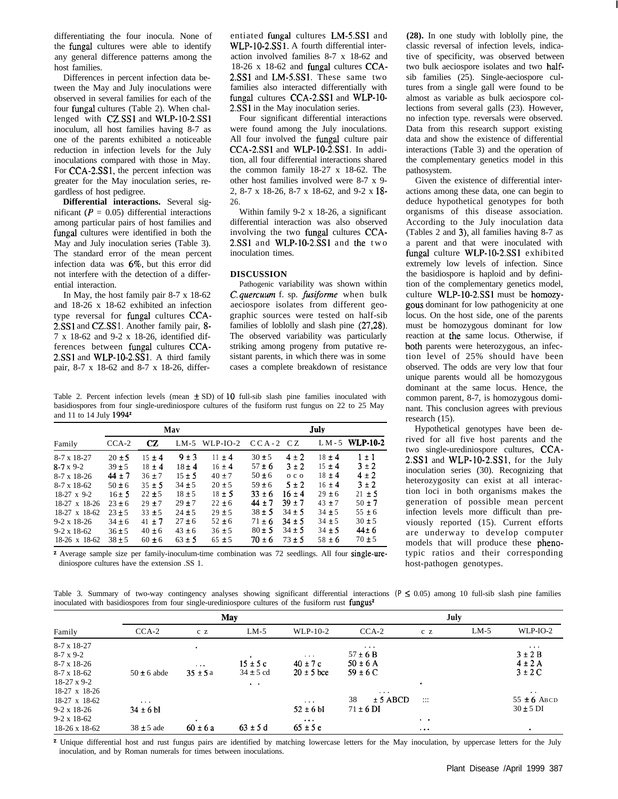differentiating the four inocula. None of the fungal cultures were able to identify any general difference patterns among the host families.

Differences in percent infection data between the May and July inoculations were observed in several families for each of the four fungal cultures (Table 2). When challenged with CZ.SSl and WLP-lo-2.SSl inoculum, all host families having 8-7 as one of the parents exhibited a noticeable reduction in infection levels for the July inoculations compared with those in May. For CCA-2.SS1, the percent infection was greater for the May inoculation series, regardless of host pedigree.

**Differential interactions.** Several significant ( $P = 0.05$ ) differential interactions among particular pairs of host families and fungal cultures were identified in both the May and July inoculation series (Table 3). The standard error of the mean percent infection data was 6%, but this error did not interfere with the detection of a differential interaction.

In May, the host family pair 8-7 x 18-62 and 18-26 x 18-62 exhibited an infection type reversal for fungal cultures CCA-2.SSl and CZ.SSl. Another family pair, 8- 7 x 18-62 and 9-2 x 18-26, identified differences between fungal cultures CCA-2.SS1 and WLP-10-2.SS1. A third family pair, 8-7 x 18-62 and 8-7 x 18-26, differentiated fungal cultures LM-S.SSl and WLP-10-2.SS1. A fourth differential interaction involved families 8-7 x 18-62 and 18-26 x 18-62 and fungal cultures CCA-2.SS1 and LM-5.SS1. These same two families also interacted differentially with fungal cultures CCA-2.SSl and WLP-lO-2.SSl in the May inoculation series.

Four significant differential interactions were found among the July inoculations. All four involved the fungal culture pair CCA-2SSl and WLP-lo-2.SSl. In addition, all four differential interactions shared the common family 18-27 x 18-62. The other host families involved were 8-7 x 9- 2, 8-7 x 18-26, 8-7 x 18-62, and 9-2 x 18- 26.

Within family 9-2 x 18-26, a significant differential interaction was also observed involving the two fungal cultures CCA-2SSl and WLP-lo-2.SSl and the two inoculation times.

# **DISCUSSION**

Pathogenic variability was shown within C. *quercuum* f. sp. fusiforme when bulk aeciospore isolates from different geographic sources were tested on half-sib families of loblolly and slash pine (27,28). The observed variability was particularly striking among progeny from putative resistant parents, in which there was in some cases a complete breakdown of resistance

Table 2. Percent infection levels (mean  $\pm$  SD) of 10 full-sib slash pine families inoculated with basidiospores from four single-urediniospore cultures of the fusiform rust fungus on 22 to 25 May and 11 to 14 July 19942

|                      | Mav        |            |            |            | July       |                |            |                   |
|----------------------|------------|------------|------------|------------|------------|----------------|------------|-------------------|
| Family               | $CCA-2$    | CZ         | $LM-5$     | $WLP-IO-2$ | $CCA-2CZ$  |                |            | $LM - 5$ WLP-10-2 |
| $8-7 \times 18-27$   | $20 \pm 5$ | $15 \pm 4$ | $9 \pm 3$  | $11 \pm 4$ | $30 + 5$   | $4 + 2$        | $18 \pm 4$ | $1 \pm 1$         |
| $8-7 \times 9-2$     | $39 \pm 5$ | $18 \pm 4$ | $18 + 4$   | $16 \pm 4$ | $57 \pm 6$ | $3 \pm 2$      | $15 \pm 4$ | $3 \pm 2$         |
| $8-7 \times 18-26$   | $44 \pm 7$ | $36 + 7$   | $15 \pm 5$ | $40 \pm 7$ | $50 \pm 6$ | 0 <sub>c</sub> | $18 \pm 4$ | $4 \pm 2$         |
| $8-7 \times 18-62$   | $50 \pm 6$ | $35 \pm 5$ | $34 \pm 5$ | $20 \pm 5$ | $59 \pm 6$ | $5 \pm 2$      | $16 \pm 4$ | $3 \pm 2$         |
| $18-27 \times 9-2$   | $16 \pm 5$ | $22 \pm 5$ | $18 \pm 5$ | $18 \pm 5$ | $33 \pm 6$ | $16 \pm 4$     | $29 \pm 6$ | $21 \pm 5$        |
| $18-27 \times 18-26$ | $23 \pm 6$ | $29 \pm 7$ | $29 \pm 7$ | $22 \pm 6$ | $44 \pm 7$ | $39 \pm 7$     | $43 \pm 7$ | $50 \pm 7$        |
| $18-27 \times 18-62$ | $23 \pm 5$ | $33 + 5$   | $24 \pm 5$ | $29 \pm 5$ | $38 \pm 5$ | $34 \pm 5$     | $34 \pm 5$ | $55 \pm 6$        |
| $9-2 \times 18-26$   | $34 \pm 6$ | $41 \pm 7$ | $27 \pm 6$ | $52 \pm 6$ | $71 \pm 6$ | $34 \pm 5$     | $34 \pm 5$ | $30 \pm 5$        |
| $9-2 \times 18-62$   | $36 \pm 5$ | $40 \pm 6$ | $43 \pm 6$ | $36 \pm 5$ | $80 \pm 5$ | $34 \pm 5$     | $34 \pm 5$ | $44 \pm 6$        |
| 18-26 x 18-62        | $38 + 5$   | $60 \pm 6$ | $63 \pm 5$ | $65 \pm 5$ | $70 \pm 6$ | $73 \pm 5$     | $58 \pm 6$ | $70 + 5$          |

<sup>2</sup> Average sample size per family-inoculum-time combination was 72 seedlings. All four single-urediniospore cultures have the extension .SS 1.

**(28).** In one study with loblolly pine, the classic reversal of infection levels, indicative of specificity, was observed between two bulk aeciospore isolates and two halfsib families (25). Single-aeciospore cultures from a single gall were found to be almost as variable as bulk aeciospore collections from several galls (23). However, no infection type. reversals were observed. Data from this research support existing data and show the existence of differential interactions (Table 3) and the operation of the complementary genetics model in this pathosystem.

Given the existence of differential interactions among these data, one can begin to deduce hypothetical genotypes for both organisms of this disease association. According to the July inoculation data (Tables 2 and 3), all families having 8-7 as a parent and that were inoculated with fungal culture WLP-lo-2.SSl exhibited extremely low levels of infection. Since the basidiospore is haploid and by definition of the complementary genetics model, culture WLP-lo-2.SSl must be homozygous dominant for low pathogenicity at one locus. On the host side, one of the parents must be homozygous dominant for low reaction at the same locus. Otherwise, if both parents were heterozygous, an infection level of 25% should have been observed. The odds are very low that four unique parents would all be homozygous dominant at the same locus. Hence, the common parent, 8-7, is homozygous dominant. This conclusion agrees with previous research (15).

Hypothetical genotypes have been derived for all five host parents and the two single-urediniospore cultures, CCA-2.SSl and WLP-IO-2.SS1, for the July inoculation series (30). Recognizing that heterozygosity can exist at all interaction loci in both organisms makes the generation of possible mean percent infection levels more difficult than previously reported (15). Current efforts are underway to develop computer models that will produce these phenotypic ratios and their corresponding host-pathogen genotypes.

Table 3. Summary of two-way contingency analyses showing significant differential interactions  $(P \le 0.05)$  among 10 full-sib slash pine families inoculated with basidiospores from four single-urediniospore cultures of the fusiform rust fungus<sup>2</sup>

|                      | May             |                                  |               |                      | July                           |                       |        |                      |
|----------------------|-----------------|----------------------------------|---------------|----------------------|--------------------------------|-----------------------|--------|----------------------|
| Family               | $CCA-2$         | c z                              | $LM-5$        | $WLP-10-2$           | $CCA-2$                        | c z                   | $LM-5$ | $WLP-IO-2$           |
| $8-7 \times 18-27$   |                 |                                  |               |                      | $\sim$ $\sim$ $\sim$           |                       |        | $\sim$ $\sim$ $\sim$ |
| $8-7 \times 9-2$     |                 |                                  |               | $\sim$ $\sim$ $\sim$ | $57 \pm 6$ B                   |                       |        | $3 \pm 2 B$          |
| $8-7 \times 18-26$   |                 | $\alpha$ , $\alpha$ , $\alpha$ , | $15 \pm 5c$   | $40 \pm 7$ c         | $50 \pm 6$ A                   |                       |        | $4 \pm 2$ A          |
| $8-7 \times 18-62$   | $50 \pm 6$ abde | $35 \pm 5a$                      | $34 \pm 5$ cd | $20 \pm 5$ bce       | $59 \pm 6$ C                   |                       |        | $3 \pm 2C$           |
| $18-27 \times 9-2$   |                 |                                  | $\sim$        |                      |                                | $\bullet$             |        |                      |
| 18-27 x 18-26        |                 |                                  |               |                      | $\bullet$ .<br><br>4 $\bullet$ |                       |        | $\sim$ $\sim$        |
| 18-27 x 18-62        | $\cdots$        |                                  |               | $\sim$ 10 $\sim$     | $± 5$ ABCD<br>38               | $\cdots$              |        | $55 \pm 6$ ABCD      |
| $9-2 \times 18-26$   | $34 \pm 6$ bI   |                                  |               | $52 \pm 6$ bI        | $71 \pm 6$ DI                  |                       |        | $30 \pm 5$ DI        |
| $9-2 \times 18-62$   |                 |                                  |               | $\sim$ $\sim$ $\sim$ |                                | $\bullet$ . $\bullet$ |        |                      |
| $18-26 \times 18-62$ | $38 \pm 5$ ade  | $60 \pm 6a$                      | $63 \pm 5$ d  | $65 \pm 5e$          |                                | $-0.001$              |        |                      |

<sup>z</sup> Unique differential host and rust fungus pairs are identified by matching lowercase letters for the May inoculation, by uppercase letters for the July inoculation, and by Roman numerals for times between inoculations.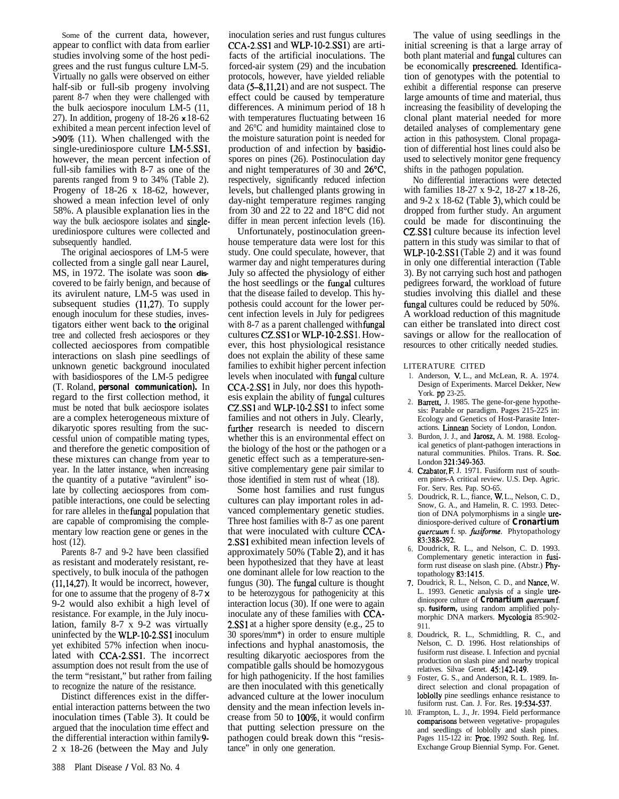Some of the current data, however, appear to conflict with data from earlier studies involving some of the host pedigrees and the rust fungus culture LM-5. Virtually no galls were observed on either half-sib or full-sib progeny involving parent 8-7 when they were challenged with the bulk aeciospore inoculum LM-5 (11, 27). In addition, progeny of 18-26 **x** 18-62 exhibited a mean percent infection level of >90% (11). When challenged with the single-urediniospore culture LM-S.SSl, however, the mean percent infection of full-sib families with 8-7 as one of the parents ranged from 9 to 34% (Table 2). Progeny of 18-26 x 18-62, however, showed a mean infection level of only 58%. A plausible explanation lies in the way the bulk aeciospore isolates and singleurediniospore cultures were collected and subsequently handled.

The original aeciospores of LM-5 were collected from a single gall near Laurel, MS, in 1972. The isolate was soon **dis**covered to be fairly benign, and because of its avirulent nature, LM-5 was used in subsequent studies (11,27). To supply enough inoculum for these studies, investigators either went back to the original tree and collected fresh aeciospores or they collected aeciospores from compatible interactions on slash pine seedlings of unknown genetic background inoculated with basidiospores of the LM-5 pedigree (T. Roland, *personal communication).* In regard to the first collection method, it must be noted that bulk aeciospore isolates are a complex heterogeneous mixture of dikaryotic spores resulting from the successful union of compatible mating types, and therefore the genetic composition of these mixtures can change from year to year. In the latter instance, when increasing the quantity of a putative "avirulent" isolate by collecting aeciospores from compatible interactions, one could be selecting for rare alleles in the fungal population that are capable of compromising the complementary low reaction gene or genes in the host (12).

Parents 8-7 and 9-2 have been classified as resistant and moderately resistant, respectively, to bulk inocula of the pathogen (11,14,27). It would be incorrect, however, for one to assume that the progeny of  $8-7 \times$ 9-2 would also exhibit a high level of resistance. For example, in the July inoculation, family 8-7 x 9-2 was virtually uninfected by the WLP-lo-2.SSl inoculum yet exhibited 57% infection when inoculated with CCA-2.SSl. The incorrect assumption does not result from the use of the term "resistant," but rather from failing to recognize the nature of the resistance.

Distinct differences exist in the differential interaction patterns between the two inoculation times (Table 3). It could be argued that the inoculation time effect and the differential interaction within family 9- 2 x 18-26 (between the May and July

inoculation series and rust fungus cultures CCA-2.SSl and WLP-lo-2.SSl) are artifacts of the artificial inoculations. The forced-air system (29) and the incubation protocols, however, have yielded reliable data (5-8,11,21) and are not suspect. The effect could be caused by temperature differences. A minimum period of 18 h with temperatures fluctuating between 16 and 26°C and humidity maintained close to the moisture saturation point is needed for production of and infection by basidiospores on pines (26). Postinoculation day and night temperatures of 30 and 26"C, respectively, significantly reduced infection levels, but challenged plants growing in day-night temperature regimes ranging from 30 and 22 to 22 and 18°C did not differ in mean percent infection levels (16).

Unfortunately, postinoculation greenhouse temperature data were lost for this study. One could speculate, however, that warmer day and night temperatures during July so affected the physiology of either the host seedlings or the fungal cultures that the disease failed to develop. This hypothesis could account for the lower percent infection levels in July for pedigrees with 8-7 as a parent challenged with fungal cultures CZ.SSl or WLP-lo-2.SSl. However, this host physiological resistance does not explain the ability of these same families to exhibit higher percent infection levels when inoculated with fungal culture CCA-2.SSl in July, nor does this hypothesis explain the ability of fungal cultures CZ.SSl and WLP-lo-2.SSl to infect some families and not others in July. Clearly, further research is needed to discern whether this is an environmental effect on the biology of the host or the pathogen or a genetic effect such as a temperature-sensitive complementary gene pair similar to those identified in stem rust of wheat (18).

Some host families and rust fungus cultures can play important roles in advanced complementary genetic studies. Three host families with 8-7 as one parent that were inoculated with culture CCA-2.SSl exhibited mean infection levels of approximately 50% (Table 2), and it has been hypothesized that they have at least one dominant allele for low reaction to the fungus (30). The fungal culture is thought to be heterozygous for pathogenicity at this interaction locus (30). If one were to again inoculate any of these families with CCA-2.SS1 at a higher spore density (e.g., 25 to 30 spores/mm\*) in order to ensure multiple infections and hyphal anastomosis, the resulting dikaryotic aeciospores from the compatible galls should be homozygous for high pathogenicity. If the host families are then inoculated with this genetically advanced culture at the lower inoculum density and the mean infection levels increase from 50 to lOO%, it would confirm that putting selection pressure on the pathogen could break down this "resistance" in only one generation.

The value of using seedlings in the initial screening is that a large array of both plant material and fungal cultures can be economically prescreened. Identification of genotypes with the potential to exhibit a differential response can preserve large amounts of time and material, thus increasing the feasibility of developing the clonal plant material needed for more detailed analyses of complementary gene action in this pathosystem. Clonal propagation of differential host lines could also be used to selectively monitor gene frequency shifts in the pathogen population.

No differential interactions were detected with families 18-27 x 9-2, 18-27 **x** 18-26, and  $9-2 \times 18-62$  (Table 3), which could be dropped from further study. An argument could be made for discontinuing the CZ.SSl culture because its infection level pattern in this study was similar to that of WLP-IO-2.SSl (Table 2) and it was found in only one differential interaction (Table 3). By not carrying such host and pathogen pedigrees forward, the workload of future studies involving this diallel and these fungal cultures could be reduced by 50%. A workload reduction of this magnitude can either be translated into direct cost savings or allow for the reallocation of resources to other critically needed studies.

#### LITERATURE CITED

- 1. Anderson, V. L., and McLean, R. A. 1974. Design of Experiments. Marcel Dekker, New York. pp 23-25.
- 2. Barrett, J. 1985. The gene-for-gene hypothesis: Parable or paradigm. Pages 215-225 in: Ecology and Genetics of Host-Parasite Interactions. Linnean Society of London, London.
- Burdon, J. J., and Jarosz, A. M. 1988. Ecological genetics of plant-pathogen interactions in natural communities. Philos. Trans. R. Sot. London 321:349-363.
- 4. Czabator, F. J. 1971. Fusiform rust of southern pines-A critical review. U.S. Dep. Agric. For. Serv. Res. Pap. SO-65.
- 5. Doudrick, R. L., fiance, W. L., Nelson, C. D., Snow, G. A., and Hamelin, R. C. 1993. Detection of DNA polymorphisms in a single urediniospore-derived culture of *Cronartium* quer&m f. sp. *fusiforme.* Phytopathology 83:388-392.
- 6. Doudrick, R. L., and Nelson, C. D. 1993. Complementary genetic interaction in fusiform rust disease on slash pine. (Abstr.) Phytopathology 83:1415.
- 7. Doudrick, R. L., Nelson, C. D., and Nance, W. L. 1993. Genetic analysis of a single urediniospore culture of **Cronartium** quercuumf. sp. *fusiform,* using random amplified polymorphic DNA markers. Mycologia 85:902- 911.
- 8. Doudrick, R. L., Schmidtling, R. C., and Nelson, C. D. 1996. Host relationships of fusiform rust disease. I. Infection and pycnial production on slash pine and nearby tropical relatives. Silvae Genet. 45:142-149.
- 9 Foster, G. S., and Anderson, R. L. 1989. Indirect selection and clonal propagation of loblolly pine seedlings enhance resistance to fusiform rust. Can. J. For. Res. 19:534-537.
- 10. **<sup>1</sup>** Frampton, L. J., Jr. 1994. Field performance comparisons between vegetative- propagules and seedlings of loblolly and slash pines. Pages 115-122 in: Proc. 1992 South. Reg. Inf. Exchange Group Biennial Symp. For. Genet.